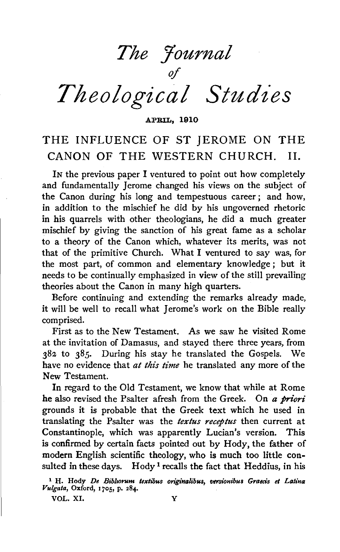*The Journal* 

 $\partial f$ 

# *Theological Studies*

APRIL, 1910

# THE INFLUENCE OF ST JEROME ON THE CANON OF THE WESTERN CHURCH. 11.

IN the previous paper I ventured to point out how completely and fundamentally Jerome changed his views on the subject of the Canon during his long and tempestuous career ; and how, in addition to the mischief he did by his ungoverned rhetoric in his quarrels with other theologians, he did a much greater mischief by giving the sanction of his great fame as a scholar to a theory of the Canon which, whatever its merits, was not that of the primitive Church. What I ventured to say was, for the most part, of common and elementary knowledge ; but it needs to be continually emphasized in view of the still prevailing theories about the Canon in many high quarters.

Before continuing and extending the remarks already made, it will be well to recall what Jerome's work on the Bible really comprised.

First as to the New Testament. As we saw he visited Rome at the invitation of Damasus, and stayed there three years, from 382 to 385. During his stay he translated the Gospels. We have no evidence that *at this time* he translated any more of the New Testament.

In regard to the Old Testament, we know that while at Rome he also revised the Psalter afresh from the Greek. On *a priori*  grounds it is probable that the Greek text which he used in translating the Psalter was the *textus receptus* then current at Constantinople, which was apparently Lucian's version. This is confirmed by certain facts pointed out by Hody, the father of modern English scientific theology, who is much too little consulted in these days. Hody<sup>1</sup> recalls the fact that Heddius, in his

VOL. XI. Y

<sup>&</sup>lt;sup>1</sup> H. Hody *De Bibliorum textibus originalibus, versionibus Graecis et Latina Vulgata*, Oxford, 1705, p. 284.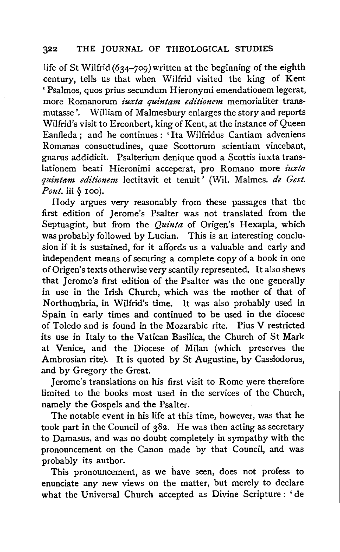life of St Wilfrid *(634-709)* written at the beginning of the eighth century, tells us that when Wilfrid visited the king of Kent 'Psalmos, quos prius secundum Hieronymi emendationem legerat, more Romanorum *iuxta quintam editionem* memorialiter transmutasse'. William of Malmesbury enlarges the story and reports Wilfrid's visit to Erconbert, king of Kent, at the instance of Queen Eanfleda; and he continues: 'Ita Wilfridus Cantiam adveniens Romanas consuetudines, quae Scottorum scientiam vincebant, gnarus addidicit. Psalterium denique quod a Scottis iuxta trans-Iationem beati Hieronimi acceperat, pro Romano more *iuxta quintam editionem* lectitavit et tenuit ' (Wil. Malmes. *de Gest. Pont.* iii  $\delta$  100).

Hody argues very reasonably from these passages that the first edition of Jerome's Psalter was not translated from the Septuagint, but from the *Quinta* of Origen's Hexapla, which was probably followed by Lucian. This is an interesting conclusion if it is sustained, for it affords us a valuable and early and independent means of securing a complete copy of a book in one of Origen' s texts otherwise very scantily represented. It also shews that Jerome's first edition of the Psalter was the one generally in use in the Irish Church, which was the mother of that of Northumbria, in Wilfrid's time. It was also probably used in Spain in early times and continued to be used in the diocese of Toledo and is found in the Mozarabic rite. Pius V restricted its use in Italy to the Vatican Basilica, the Church of St Mark at Venice, and the Diocese of Milan (which preserves the Ambrosian rite). It is quoted by St Augustine, by Cassiodorus, and by Gregory the Great.

Jerome's translations on his first visit to Rome were therefore limited to the books most used in the services of the Church, namely the Gospels and the Psalter.

The notable event in his life at this time, however, was that he took part in the Council of 382. He was then acting as secretary to Damasus, and was no doubt completely in sympathy with the pronouncement on the Canon made by that Council, and was probably its author.

This pronouncement, as we have seen, does not profess to enunciate any new views on the matter, but merely to declare what the Universal Church accepted as Divine Scripture: 'de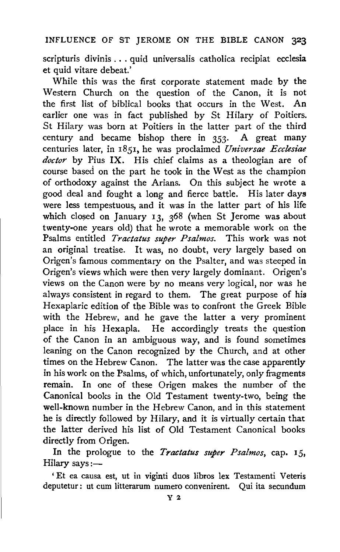scripturis divinis ... quid universalis catholica recipiat ecclesia et quid vitare debeat.'

While this was the first corporate statement made by the Western Church on the question of the Canon, it is not the first list of biblical books that occurs in the West. An earlier one was in fact published by St Hilary of Poitiers. St Hilary was born at Poitiers in the latter part of the third century and became bishop there in *353·* A great many centuries later, in 1851, he was proclaimed *Universae Ecclesiae doctor* by Pius IX. His chief claims as a theologian are of course based on the part he took in the West as the champion of orthodoxy against the Arians. On this subject he wrote a good deal and fought a long and fierce battle. His later days were less tempestuous, and it was in the latter part of his life which closed on January 13,  $368$  (when St Jerome was about twenty-one years old) that he wrote a memorable work on the Psalms entitled *Tractatus super Psalmos.* This work was not an original treatise. It was, no doubt, very largely based on Origen's famous commentary on the Psalter, and was steeped in Origen's views which were then very largely dominant. Origen's views on the Canon were by no means very logical, nor was he always consistent in regard to them. The great purpose of his Hexaplaric edition of the Bible was to confront the Greek Bible with the Hebrew, and he gave the latter a very prominent place in his Hexapla. He accordingly treats the question of the Canon in an ambiguous way, and is found sometimes leaning on the Canon recognized by the Church, and at other times on the Hebrew Canon. The latter was the case apparently in his work on the Psalms, of which, unfortunately, only fragments remain. In one of these Origen makes the number of the Canonical books in the Old Testament twenty-two, being the well-known number in the Hebrew Canon, and in this statement he is directly followed by Hilary, and it is virtually certain that the latter derived his list of Old Testament Canonical books directly from Origen.

In the prologue to the *Tractatus super Psalmos,* cap. 15, Hilary says: $-$ 

' Et ea causa est, ut in viginti duos libros lex Testamenti Veteris deputetur : ut cum litterarum numero convenirent. Qui ita secundum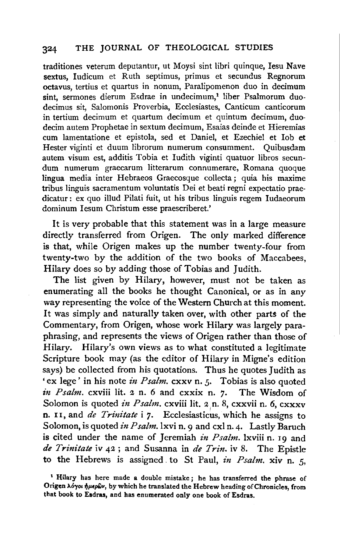traditiones veterum deputantur, ut Moysi sint libri quinque, Iesu Nave sextus, Iudicum et Ruth septimus, primus et secundus Regnorum octavus, tertius et quartus in nonum, Paralipomenon duo in decimum sint, sermones dierum Esdrae in undecimum,<sup>1</sup> liber Psalmorum duodecimus sit, Salomonis Proverbia, Ecclesiastes, Canticum canticorum in tertium decimum et quartum decimum et quintum decimum, duodecim autem Prophetae in sextum decimum, Esaias deinde et Hieremias cum Iamentatione et epistola, sed et Daniel, et Ezechiel et Iob et Rester viginti et duum Iibrorum numerum consumment. Quibusdam autem visum est, additis Tobia et Iudith viginti quatuor libros secundum numerum graecarum litterarum connumerare, Romana quoque lingua media inter Hebraeos Graecosque collecta; quia his maxime tribus linguis sacramentum voluntatis Dei et beati regni expectatio praedicatur: ex quo illud Pilati fuit, ut his tribus linguis regem Iudaeorum dominum Iesum Christum esse praescriberet.'

It is very probable that this statement was in a large measure directly transferred from Origen. The only marked difference is that, while Origen makes up the number twenty-four from twenty-two by the addition of the two books of Maccabees, Hilary does so by adding those of Tobias and Judith.

The list given by Hilary, however, must not be taken as enumerating all the books he thought Canonical, or as in any way representing the voice of the Western Church at this moment. It was simply and naturally taken over, with other parts of the Commentary, from Origen, whose work Hilary was largely paraphrasing, and represents the views of Origen rather than those of Hilary. Hilary's own views as to what constituted a legitimate Scripture book may (as the editor of Hilary in Migne's edition says) be collected from his quotations. Thus he quotes Judith as 'ex lege' in his note in Psalm. cxxv n. 5. Tobias is also quoted *in Psalm.* cxviii lit. 2 n. 6 and cxxix n. 7. The Wisdom of Solomon is quoted in Psalm. cxviii lit. 2 n. 8, cxxvii n. 6, cxxxv n. 11, and *de Trinitate* i 7. Ecclesiasticus, which he assigns to Solomon, is quoted *in Psalm*. 1xvi n. 9 and cxl n. 4. Lastly Baruch is cited under the name of Jeremiah *in Psalm.* lxviii n. 19 and *de Trinitate* iv 42; and Susanna in *de Trin.* iv 8. The Epistle to the Hebrews is assigned. to St Paul, *in Psalm.* xiv n. 5,

<sup>1</sup> Hilary has here made a double mistake ; he has transferred the phrase of Origen λόγοι ήμερων, by which he translated the Hebrew heading of Chronicles, from that book to Esdras, and has enumerated only one book of Esdras.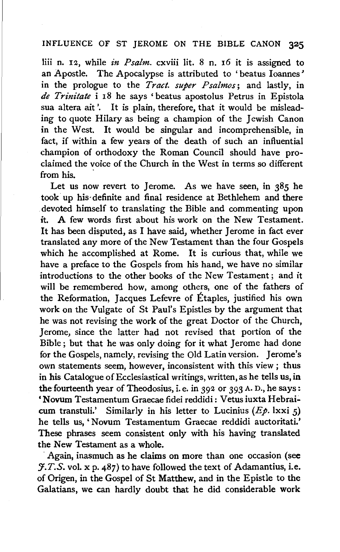liii n. 12, while *in Psalm.* cxviii lit. 8 n. 16 it is assigned to an Apostle. The Apocalypse is attributed to 'beatus Ioannes' in the prologue to the *Tract. super Psalmos;* and lastly, in *de Trinitate* i 18 he says 'beatus apostolus Petrus in Epistola sua altera ait '. It is plain, therefore, that it would be misleading to quote Hilary as being a champion of the Jewish Canon in the West. It would be singular and incomprehensible, in fact, if within a few years of the death of such an influential champion of orthodoxy the Roman Council should have proclaimed the voice of the Church in the West in terms so different from his.

Let us now revert to Jerome. As we have seen, in  $385$  he took up his· definite and final residence at Bethlehem and there . devoted himself to translating the Bible and commenting upon it. A few words first about his work on the New Testament. It has been disputed, as I have said, whether Jerome in fact ever translated any more of the New Testament than the four Gospels which he accomplished at Rome. It is curious that, while we have a preface to the Gospels from his hand, we have no similar introductions to the other books of the New Testament ; and it will be remembered how, among others, one of the fathers of the Reformation, Jacques Lefevre of Étaples, justified his own work on the Vulgate of St Paul's Epistles by the argument that he was not revising the work of the great Doctor of the Church, Jerome, since the latter had not revised that portion of the Bible; but that he was only doing for it what Jerome had done for the Gospels, namely, revising the Old Latin version. Jerome's own statements seem, however, inconsistent with this view ; thus in his Catalogue of Ecclesiastical writings, written, as he tells us, in the fourteenth year of Theodosius, i.e. in 392 or 393 A. D., he says: 'Novum Testamentum Graecae fidei reddidi: Vetus iuxta Hebraicum transtuli.' Similarly in his letter to Lucinius  $(E_p, \text{lxxi } 5)$ he tells us, 'Novum Testamentum Graecae reddidi auctoritati.' These phrases seem consistent only with his having translated the New Testament as a whole.

Again, inasmuch as he claims on more than one occasion (see  $\mathcal{F}.T.S.$  vol. x p. 487) to have followed the text of Adamantius, i.e. of Origen, in the Gospel of St Matthew, and in the Epistle to the Galatians, we can hardly doubt that he did considerable work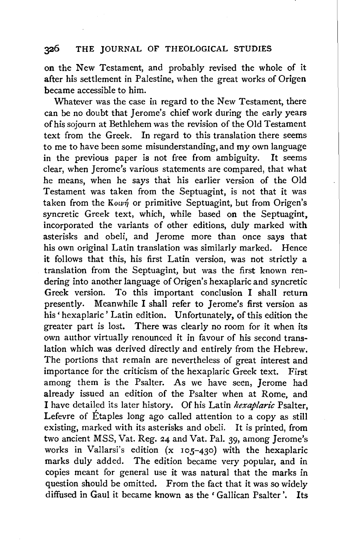on the New Testament, and probably revised the whole of it after his settlement in Palestine, when the great works of Origen became accessible to him.

Whatever was the case in regard to the New Testament, there can be no doubt that Jerome's chief work during the early years of his sojourn at Bethlehem was the revision of the Old Testament text from the Greek. In regard to this translation there seems to me to have been some misunderstanding, and my own language in the previous paper is not free from ambiguity. It seems clear, when Jerome's various statements are compared, that what he means, when he says that his earlier version of the Old Testament was taken from the Septuagint, is not that it was taken from the Kown or primitive Septuagint, but from Origen's syncretic Greek text, which, while based on the Septuagint, incorporated the variants of other editions, duly marked with asterisks and obeli, and Jerome more than once says that his own original Latin translation was similarly marked. Hence it follows that this, his first Latin version, was not strictly a translation from the Septuagint, but was the first known rendering into another language of Origen's hexaplaric and syncretic Greek version. To this important conclusion I shall return presently. Meanwhile I shall refer to Jerome's first version as his 'hexaplaric' Latin edition. Unfortunately, of this edition the greater part is lost. There was clearly no room for it when its own author virtually renounced it in favour of his second translation which was derived directly and entirely from the Hebrew. The portions that remain are nevertheless of great interest and importance for the criticism of the hexaplaric Greek text. First among them is the Psalter. As we have seen, Jerome had already issued an edition of the Psalter when at Rome, and I have detailed its later history. Of his Latin *hexaplaric* Psalter, Lefevre of Étaples long ago called attention to a copy as still existing, marked with its asterisks and obeli. It is printed, from two ancient MSS, Vat. Reg. 24 and Vat. Pal. 39, among Jerome's works in Vallarsi's edition (x 105-430) with the hexaplaric marks duly added. The edition became very popular, and in copies meant for general use it was natural that the marks in question should be omitted. From the fact that it was so widely diffused in Gaul it became known as the 'Gallican Psalter'. Its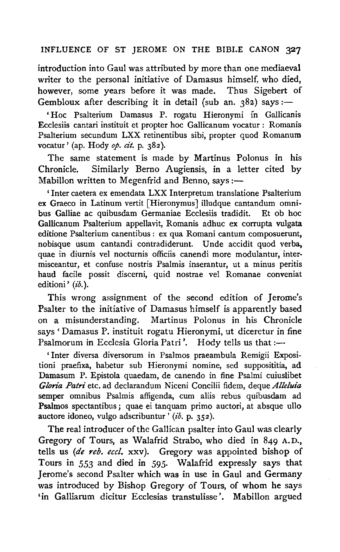introduction into Gaul was attributed by more than one mediaeval writer to the personal initiative of Damasus himself, who died, however, some years before it was made. Thus Sigebert of however, some years before it was made. Gembloux after describing it in detail (sub an.  $382$ ) says:-

'Hoc Psalterium Damasus P. rogatu Hieronymi in Gallicanis Ecclesiis cantari instituit et propter hoc Gallicanum vocatur: Romanis Psalterium secundum LXX retinentibus sibi, propter quod Romanum vocatur' (ap. Hody *op. cit.* p. 382).

The same statement is made by Martinus Polonus in his Chronicle. Similarly Berno Augiensis, in a letter cited by Mabillon written to Megenfrid and Benno, says :-

' Inter caetera ex emendata LXX Interpretum translatione Psalterium ex Graeco in Latinum vertit [Hieronymus] illudque cantandum omnibus Galliae ac quibusdam Germaniae Ecclesiis tradidit. Gallicanum Psalterium appellavit, Romanis adhuc ex corrupta vulgata editione Psalterium canentibus : ex qua Romani cantum composuerunt, nobisque usum cantandi contradiderunt. Unde accidit quod verba. quae in diurnis vel nocturnis officiis canendi more modulantur, intermisceantur, et confuse nostris Psalmis inserantur, ut a minus peritis haud facile possit discerni, quid nostrae vel Romanae conveniat editioni' (ib.).

This wrong assignment of the second edition of Jerome's Psalter to the initiative of Damasus himself is apparently based on a misunderstanding. Martinus Polonus in his Chronicle says 'Damasus P. instituit rogatu Hieronymi, ut diceretur in fine Psalmorum in Ecclesia Gloria Patri'. Hody tells us that:-

'Inter diversa diversorum in Psalmos praeambula Remigii Expositioni praefixa, habetur sub Hieronymi nomine, sed supposititia, ad Damasum P. Epistola quaedam, de canendo in fine Psalmi cuiuslibet *Gloria Patri* etc. ad declarandum Niceni Concilii fidem, deque *Alleluia*  semper omnibus Psalmis affigenda, cum aliis rebus quibusdam ad Psalmos spectantibus; quae ei tanquam primo auctori, at absque ullo auctore idoneo, vulgo adscribuntur  $(i\delta$ . p. 352).

The real introducer of the Gallican psalter into Gaul was clearly Gregory of Tours, as Walafrid Strabo, who died in 849 A.D., tells us *(de reb. eccl.* xxv). Gregory was appointed bishop of Tours in *553* and died in *595·* Walafrid expressly says that Jerome's second Psalter which was in use in Gaul and Germany was introduced by Bishop Gregory of Tours, of whom he says 'in Galliarum dicitur Ecclesias transtulisse '. Mabillon argued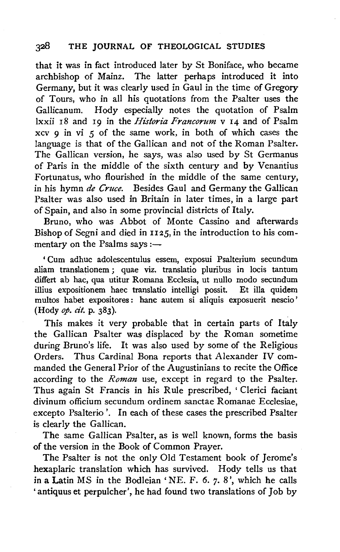that it was in fact introduced later by St Boniface, who became archbishop of Mainz. The latter perhaps introduced it into Germany, but it was clearly used in Gaul in the time of Gregory of Tours, who in all his quotations from the Psalter uses the Gallicanum. Hody especially notes the quotation of Psalm lxxii 18 and 19 in the *Historia Francorum* v 14 and of Psalm xcv 9 in vi *5* of the same work, in both of which cases the language is that of the Gallican and not of the Roman Psalter. The Gallican version, he says, was also used by St Germanus of Paris in the middle of the sixth century and by Venantius Fortunatus, who flourished in the middle of the same century, in his hymn *de Cruce.* Besides Gaul and Germany the Gallican Psalter was also used in Britain in later times, in a large part of Spain, and also in some provincial districts of Italy.

Bruno, who was Abbot of Monte Cassino and afterwards Bishop of Segni and died in *IIZ5,* in the introduction to his commentary on the Psalms says  $:=$ 

' Cum adhuc adolescentulus essem, exposui Psalterium secundum aliam translationem ; quae viz. translatio pluribus in locis tantum differt ab hac, qua utitur Romana Ecclesia, ut nullo modo secundum illius expositionem haec translatio intelligi possit. Et ilia quidem multos habet expositores : banc autem si aliquis exposuerit nescio' (Hody *op. cit.* p. 383).

This makes it very probable that in certain parts of Italy the Gallican Psalter was displaced by the Roman sometime during Bruno's life. It was also used by some of the Religious Orders. Thus Cardinal Bona reports that Alexander IV commanded the General Prior of the Augustinians to recite the Office according to the *Roman* use, except in regard to the Psalter. Thus again St Francis in his Rule prescribed, ' Clerici faciant divinum officium secundum ordinem sanctae Romanae Ecclesiae, excepto Psalterio '. In each of these cases the prescribed Psalter is clearly the Gallican.

The same Gallican Psalter, as is well known, forms the basis of the version in the Book of Common Prayer.

The Psalter is not the only Old Testament book of Jerome's hexaplaric translation which has survived. Hody tells us that in a Latin MS in the Bodleian 'NE. F. 6. *7·* 8 ', which he calls 'antiquus et perpulcher', he had found two translations of Job by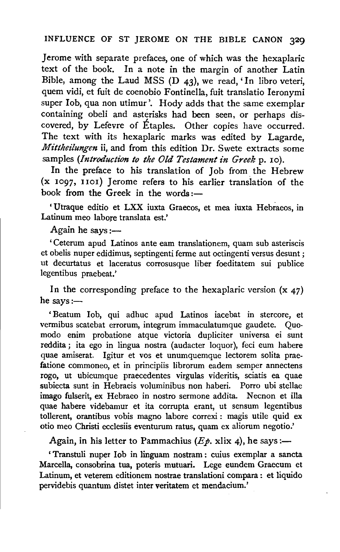Jerome with separate prefaces, one of which was the hexaplaric text of the book. In a note in the margin of another Latin Bible, among the Laud MSS (D 43), we read, 'In Iibro veteri, quem vidi, et fuit de coenobio Fontinella, fuit translatio Ieronymi super Iob, qua non utimur'. Hody adds that the same exemplar containing obeli and asterisks had been seen, or perhaps discovered, by Lefevre of Etaples. Other copies have occurred. The text with its hexaplaric marks was edited by Lagarde, *Mittheilungen* ii, and from this edition Dr. Swete extracts some samples *(Introduction to the Old Testament in Greek* p. 10).

In the preface to his translation of Job from the Hebrew (x 1097, IIoi) Jerome refers to his earlier translation of the book from the Greek in the words :-

' Utraque editio et LXX iuxta Graecos, et mea iuxta Hebraeos, in Latinum meo Iahore translata est.'

Again he says: $-$ 

' Ceterum apud Latinos ante earn translationem, quam sub asteriscis et obelis nuper edidimus, septingenti ferme aut octingenti versus desunt ; ut decurtatus et laceratus corrosusque liber foeditatem sui publice legentibus praebeat.'

In the corresponding preface to the hexaplaric version  $(x, 47)$ he says: $-$ 

' Beatum lob, qui adhuc apud Latinos iacebat in stercore, et vermibus scatebat errorum, integrum immaculatumque gaudete. Quomodo enim probatione atque victoria dupliciter universa ei sunt reddita; ita ego in lingua nostra (audacter Ioquor), feci eum habere quae amiserat. lgitur et vos et unumquemque lectorem solita praefatione commoneo, et in principiis librorum eadem semper annectens rogo, ut ubicumque praecedentes virgulas videritis, sciatis ea quae subiecta sunt in Hebraeis voluminibus non haberi. Porro ubi stellae imago fulserit, ex Hebraeo in nostro sermone addita. Necnon et ilia quae habere videbamur et ita corrupta erant, ut sensum legentibus tollerent, orantibus vobis magno labore correxi : magis utile quid ex otio meo Christi ecclesiis eventurum ratus, quam ex aliorum negotio.'

Again, in his letter to Pammachius ( $E\phi$ , xlix 4), he says:-

' Transtuli nuper Iob in linguam nostram : cuius exemplar a sancta Marcella, consobrina tua, poteris mutuari. Lege eundem Graecum et Latinum, et veterem editionem nostrae translationi compara : et liquido pervidebis quantum distet inter veritatem et mendacium.'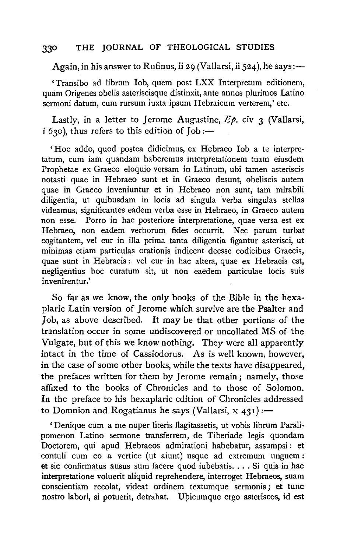Again, in his answer to Rufinus, ii 29 (Vallarsi, ii 524), he says:-

' Transibo ad Iibrum lob, quem post LXX lnterpretum editionem, quam Origenes obelis asteriscisque distinxit, ante annos plurimos Latino sermoni datum, cum rursum iuxta ipsum Hebraicum verterem,' etc.

Lastly, in a letter to Jerome Augustine,  $Ep$ . civ 3 (Vallarsi,  $i$  630), thus refers to this edition of Job: $-$ 

' Hoc addo, quod postea didicimus, ex Hebraeo lob a te interpretatum, cum iam quandam haberemus interpretationem tuam eiusdem Prophetae ex Graeco eloquio versam in Latinum, ubi tamen asteriscis notasti quae in Hebraeo sunt et in Graeco desunt, obeliscis autem quae in Graeco inveniuntur et in Hebraeo non sunt, tam mirabili diligentia, ut quibusdam in locis ad singula verba singulas stellas videamus, significantes eadem verba esse in Hebraeo, in Graeco autem non esse. Porro in hac posteriore interpretatione, quae versa est ex Hebraeo, non eadem verborum fides occurrit. Nec parum turbat cogitantem, vel cur in ilia prima tanta diligentia figantur asterisci, ut minimas etiam particulas orationis indicent deesse codicibus Graecis, quae sunt in Hebraeis : vel cur in hac altera, quae ex Hebraeis est, negligentius hoc curatum sit, ut non eaedem particulae locis suis invenirentur.'

So far as we know, the only books of the Bible in the hexaplaric Latin version of Jerome which survive are the Psalter and Job, as above described. It may be that other portions of the translation occur in some undiscovered or uncollated MS of the Vulgate, but of this we know nothing. They were all apparently intact in the time of Cassiodorus. As is well known, however, in the case of some other books, while the texts have disappeared, the prefaces written for them by Jerome remain; namely, those affixed to the books of Chronicles and to those of Solomon. In the preface to his hexaplaric edition of Chronicles addressed to Domnion and Rogatianus he says (Vallarsi,  $x$  431):

' Denique cum a me nuper literis flagitassetis, ut vobis librum Paralipomenon Latino sermone transferrem, de Tiberiade legis quondam Doctorem, qui apud Hebraeos admirationi habebatur, assumpsi: et contuli cum eo a vertice (ut aiunt) usque ad extremum unguem: et sic confirmatus ausus sum facere quod iubebatis.... Si quis in hac interpretatione voluerit aliquid reprehendere, interroget Hebraeos, suam conscientiam recolat, videat ordinem textumque sermonis; et tunc nostro labori, si potuerit, detrahat. Upicumque ergo asteriscos, id est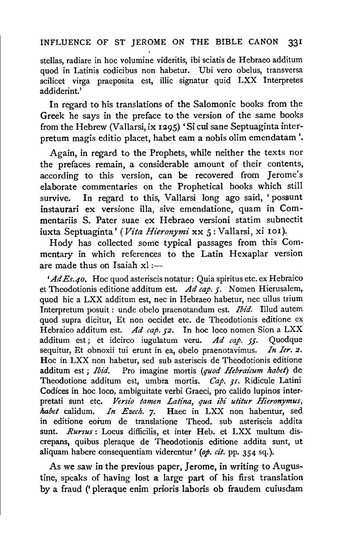stellas, radiare in hoc volumine videritis, ibi sciatis de Hebraeo additum quod in Latinis codicibus non habetur. Ubi vero obelus, transversa scilicet virga praeposita est, illic signatur quid LXX Interpretes addiderint.'

In regard to his translations of the Salomonic books from the Greek he says in the preface to the version of the same books from the Hebrew (Vallarsi, ix 1295) 'Si cui sane Septuaginta interpretum magis editio placet, habet eam a nobis olim emendatam'.

Again, in regard to the Prophets, while neither the texts nor the prefaces remain, a considerable amount of their contents, according to this version, can be recovered from Jerome's elaborate commentaries on the Prophetical books which still survive. In regard to this, Vallarsi long ago said, ' possunt instaurari ex versione ilia, sive emendatione, quam in Commentariis S. Pater suae ex Hebraeo versioni statim subnectit iuxta Septuaginta' (Vita Hieronymi xx 5: Vallarsi, xi 101).

Hody has collected some typical passages from this Commentary in which references to the Latin Hexaplar version are made thus on Isaiah  $x! :=$ 

' *AdEs.4o.* Hoc quod asteriscis notatur: Quia spiritus etc. ex Hebraico et Theodotionis editione additum est. *Ad cap. 5·* Nomen Hierusalem, quod hie a LXX additum est, nee in Hebraeo habetur, nee ullus trium lnterpretum posuit : unde obelo praenotandum est. *Ibid.* Illud autem quod supra dicitur, Et non occidet etc. de Theodotionis editione ex Hebraico additum est. *Ad cap. 52.* In hoc loco nomen Sion a LXX additum est ; et idcirco iugulatum veru. *Ad cap. 55·* Quodque sequitur, Et obnoxii tui erunt in ea, obelo praenotavimus. *In Ier. 2.*  Hoc in LXX non habetur, sed sub asteriscis de Theodotionis editione additum est ; *Ibid.* Pro imagine mortis *(quod Hebraicum habet)* de Theodotione additum est, umbra mortis. *Cap. 31.* Ridicule Latini Codices in hoc loco, ambiguitate verbi Graeci, pro calido lupinos interpretati sunt etc. *Versio tamen Latina, qua ibi utitur Hieronymus, habet* calidum. *In Ezech.* 7· Haec in LXX non habentur, sed in editione eorum de translatione Theod. sub asteriscis addita sunt. *Rursus* : Locus difficilis, et inter Heb. et LXX multum discrepans, quibus pleraque de Theodotionis editione addita sunt, ut aliquam habere consequentiam viderentur' *(op. cit.* pp. 354 sq.).

As we saw in the previous paper, Jerome, in writing to Augustine, speaks of having lost a large part of his first translation by a fraud (' pleraque enim prioris laboris ob fraudem cuiusdam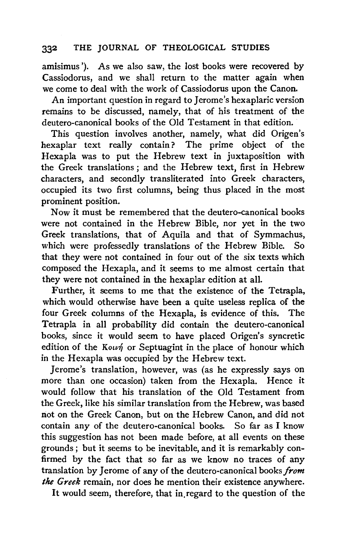amisimus '). As we also saw, the lost books were recovered by Cassiodorus, and we shall return to the matter again when we come to deal with the work of Cassiodorus upon the Canon.

An important question in regard to Jerome's hexaplaric version remains to be discussed, namely, that of his treatment of the deutero-canonical books of the Old Testament in that edition.

This question involves another, namely, what did Origen's hexaplar text really contain? The prime object of the Hexapla was to put the Hebrew text in juxtaposition with the Greek translations ; and the Hebrew text, first in Hebrew characters, and secondly transliterated into Greek characters, occupied its two first columns, being thus placed in the most prominent position.

Now it must be remembered that the deutero-canonical books were not contained in the Hebrew Bible, nor yet in the two Greek translations, that of Aquila and that of Symmachus, which were professedly translations of the Hebrew Bible. So that they were not contained in four out of the six texts which composed the Hexapla, and it seems to me almost certain that they were not contained in the hexaplar edition at all.

Further, it seems to me that the existence of the Tetrapla, which would otherwise have been a quite useless replica of the four Greek columns of the Hexapla, is evidence of this. The Tetrapla in all probability did contain the deutero-canonical books, since it would seem to have placed Origen's syncretic edition of the Kourn or Septuagint in the place of honour which in the Hexapla was occupied by the Hebrew text.

Jerome's translation, however, was (as he expressly says on more than one occasion) taken from the Hexapla. Hence it would follow that his translation of the Old Testament from the Greek, like his similar translation from the Hebrew, was based not on the Greek Canon, but on the Hebrew Canon, and did not contain any of the deutero-canonical books. So far as I know this suggestion has not been made before, at all events on these grounds ; but it seems to be inevitable, and it is remarkably confirmed by the fact that so far as we know no traces of any translation by Jerome of any of the deutero-canonical books *from the Greek* remain, nor does he mention their existence anywhere.

It would seem, therefore, that in.regard to the question of the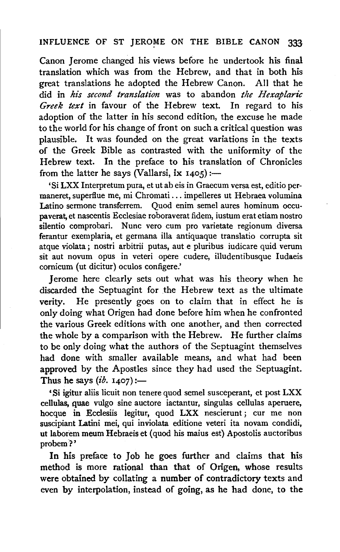Canon Jerome changed his views before he undertook his final translation which was from the Hebrew, and that in both his great translations he adopted the Hebrew Canon. All that he did in *his second translation* was to abandon *the Hexaplaric Greek text* in favour of the Hebrew text. In regard to his adoption of the latter in his second edition, the excuse he made to the world for his change of front on such a critical question was plausible. It was founded on the great variations in the texts of the Greek Bible as contrasted with the uniformity of the Hebrew text. In the preface to his translation of Chronicles from the latter he says (Vallarsi, ix  $1405$ ):-

'Si LXX Interpretum pura, et ut ab eis in Graecum versa est, editio permaneret, superflue me, mi Chromati ... impelleres ut Hebraea volumina Latino sermone transferrem. Quod enim semel aures hominum occupaverat, et nascentis Ecclesiae roboraverat fidem, iustum erat etiam nostro silentio comprobari. Nunc vero cum pro varietate regionum diversa ferantur exemplaria, et germana illa antiquaque translatio corrupta sit atque violata; nostri arbitrii putas, aut e pluribus iudicare quid verum sit aut novum opus in veteri opere cudere, illudentibusque Iudaeis comicum (ut dicitur) oculos configere.'

Jerome here clearly sets out what was his theory when he discarded the Septuagint for the Hebrew text as the ultimate verity. He presently goes on to claim that in effect he is only doing what Origen had done before him when he confronted the various Greek editions with one another, and then corrected the whole by a comparison with the Hebrew. He further claims to be only doing what the authors of the Septuagint themselves had done with smaller available means, and what had been approved by the Apostles since they had used the Septuagint. Thus he says  $(i\dot{b}$ . 1407):-

'Si igitur aliis licuit non tenere quod semel susceperant, et post LXX cellulas, quae vulgo sine auctore iactantur, singulas cellulas aperuere, hocque in Ecclesiis legitur, quod LXX nescierunt ; cur me non suscipiant Latini mei, qui inviolata editione veteri ita novam condidi, ut laborem meum Hebraeis et (quod his maius est) Apostolis auctoribus probem?'

In his preface to Job he goes further and claims that his method is more rational than that of Origen, whose results were obtained by collating a number of contradictory texts and even by interpolation, instead of going, as he had done, to the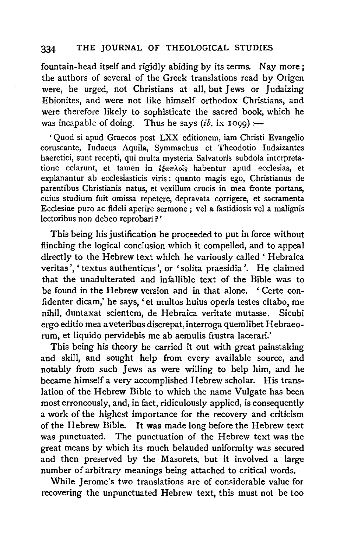fountain-head itself and rigidly abiding by its terms. Nay more; the authors of several of the Greek translations read by Origen were, he urged, not Christians at all, but Jews or Judaizing Ebionites, and were not like himself orthodox Christians, and were therefore likely to sophisticate the sacred book, which he was incapable of doing. Thus he says  $(i\dot{b})$ . ix 1099) :--

'Quod si apud Graecos post LXX editionem, iam Christi Evangelio coruscante, Iudaeus Aquila, Symmachus et Theodotio Iudaizantes haeretici, sunt recepti, qui multa mysteria Salvatoris subdola interpretatione celarunt, et tamen in  $\frac{\partial \mathcal{L}}{\partial x}$  habentur apud ecclesias, et explanantur ab ecclesiasticis viris : quanta magis ego, Christianus de parentibus Christianis natus, et vexillum crucis in mea fronte portans, cuius studium fuit omissa repetere, depravata corrigere, et sacramenta Ecclesiae puro ac fideli aperire sermone ; vel a fastidiosis vel a malignis lectoribus non debeo reprobari ? '

This being his justification he proceeded to put in force without flinching the logical conclusion which it compelled, and to appeal directly to the Hebrew text which he variously called ' Hebraica veritas', 'textus authenticus', or 'solita praesidia'. He claimed that the unadulterated and infallible text of the Bible was to be found in the Hebrew version and in that alone. ' Certe confidenter dicam,' he says, 'et multos huius operis testes citabo, me nihil, duntaxat scientem, de Hebraica veritate mutasse. Sicubi ergo editio mea a veteribus discrepat, interroga quemlibet Hebraeorum, et liquido pervidebis me ab aemulis frustra lacerari.'

This being his theory he carried it out with great painstaking and skill, and sought help from every available source, and notably from such Jews as were willing to help him, and he became himself a very accomplished Hebrew scholar. His translation of the Hebrew Bible to which the name Vulgate has been most erroneously, and, in fact, ridiculously applied, is consequently a work of the highest importance for the recovery and criticism of the Hebrew Bible. It was made long before the Hebrew text was punctuated. The punctuation of the Hebrew text was the great means by which its much belauded uniformity was secured and then preserved by the Masorets, but it involved a large number of arbitrary meanings being attached to critical words.

While Jerome's two translations are of considerable value for recovering the unpunctuated Hebrew text, this must not be too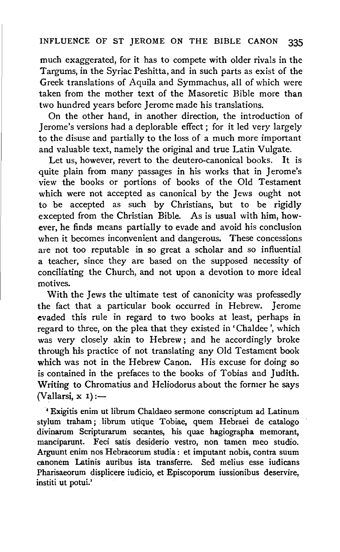much exaggerated, for it has to compete with older rivals in the Targums, in the Syriac Peshitta, and in such parts as exist of the Greek translations of Aquila and Symmachus, all of which were taken from the mother text of the Masoretic Bible more than two hundred years before Jerome made his translations.

On the other hand, in another direction, the introduction of Jerome's versions had a deplorable effect; for it led very largely to the disuse and partially to the loss of a much more important and valuable text, namely the original and true Latin Vulgate.

Let us, however, revert to the deutero-canonical books. It is quite plain from many passages in his works that in Jerome's view the books or portions of books of the Old Testament which were not accepted as canonical by the Jews ought not to be accepted as such by Christians, but to be rigidly excepted from the Christian Bible. As is usual with him, however, he finds means partially to evade and avoid his conclusion when it becomes inconvenient and dangerous. These concessions are not too reputable in so great a scholar and so influential a teacher, since they are based on the supposed necessity of conciliating the Church, and not upon a devotion to more ideal motives.

With the Jews the ultimate test of canonicity was professedly the fact that a particular book occurred in Hebrew. Jerome evaded this rule in regard to two books at least, perhaps in regard to three, on the plea that they existed in 'Chaldee ', which was very closely akin to Hebrew; and he accordingly broke through his practice of not translating any Old Testament book which was not in the Hebrew Canon. His excuse for doing so is contained in the prefaces to the books of Tobias and Judith. Writing to Chromatius and Heliodorus about the former he says  $(Vallarsi, x 1)$  :-

' Exigitis enim ut librum Chaldaeo sermone conscriptum ad Latinum stylum traham ; librum utique Tobiae, quem Hebraei de catalogo divinarum Scripturarum secantes, his quae hagiographa memorant, manciparunt. Feci satis desiderio vestro, non tamen meo studio. Arguunt enim nos Hebraeorum studia : et imputant nobis, contra suum canonem Latinis auribus ista· transferre. Sed melius esse iudicans Pharisaeorum displicere iudicio, et Episcoporum iussionibus deservire, institi ut potui.'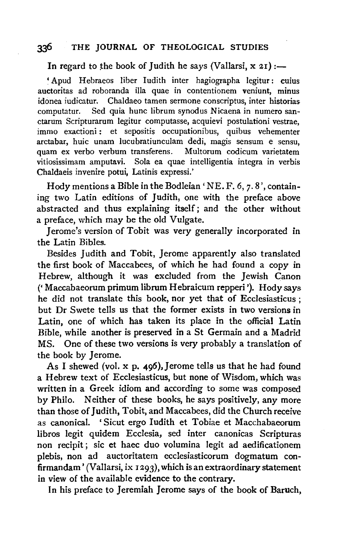In regard to the book of Judith he says (Vallarsi,  $x$  21) :-

' Apud Hebraeos Iiber ludith inter hagiographa legitur: cuius auctoritas ad roboranda illa quae in contentionem veniunt, minus idonea iudicatur. Chaldaeo tamen sermone conscriptus, inter historias computatur. Sed quia hunc Iibrum synodus Nicaena in numero sanctarum Scripturarum legitur computasse, acquievi postulationi vestrae, immo exactioni: et sepositis occupationibus, quibus vehementer arctabar, huic unam lucubratiunculam dedi, magis sensum e sensu, quam ex verbo verbum transferens. Multorum codicum varietatem vitiosissimam amputavi. Sola ea quae intelligentia integra in verbis Chaldaeis invenire potui, Latinis expressi.'

Hody mentions a Bible in the Bodleian 'NE. F.  $6, 7, 8$ ', containing two Latin editions of Judith, one with the preface above abstracted and thus explaining itself ; and the other without a preface, which may be the old Vulgate.

Jerome's version of Tobit was very generally incorporated in the Latin Bibles.

Besides Judith and Tobit, Jerome apparently also translated the first book of Maccabees, of which he had found a copy in Hebrew, although it was excluded from the Jewish Canon (' Maccabaeorum primum librum Hebraicum repperi '). Hody says he did not translate this book, nor yet that of Ecclesiasticus ; but Dr Swete tells us that the former exists in two versions in Latin, one of which has taken its place in the official Latin Bible, while another is preserved in a St Germain and a Madrid MS. One of these two versions is very probably a translation of the book by Jerome.

As I shewed (vol.  $x$  p. 496), Jerome tells us that he had found a Hebrew text of Ecclesiasticus, but none of Wisdom, which was written in a Greek idiom and according to some was composed by Philo. Neither of these books, he says positively, any more than those of Judith, Tobit, and Maccabees, did the Church receive as canonical. 'Sicut ergo ludith et Tobiae et Macchabaeorum libros legit quidem Ecclesia, sed inter canonicas Scripturas non recipit; sic et haec duo volumina legit ad aedificationem plebis, non ad auctoritatem ecclesiasticorum dogmatum confirmandam' (Vallarsi, ix  $1293$ ), which is an extraordinary statement in view of the available evidence to the contrary.

In his preface to Jeremiah Jerome says of the book of Baruch,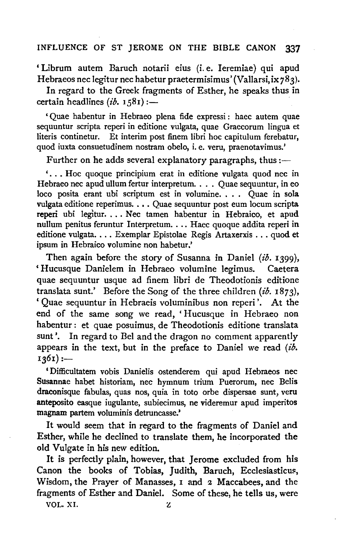'Librum autem Baruch notarii eius (i.e. Ieremiae) qui apud Hebraeos nec legitur nec habetur praetermisimus' (Vallarsi, ix 783).

In regard to the Greek fragments of Esther, he speaks thus in certain headlines  $(ib. 1581)$  :-

'Quae habentur in Hebraeo plena fide expressi: haec autem quae sequuntur scripta reperi in editione vulgata, quae Graecorum lingua et literis continetur. Et interim post finem libri hoc capitulum ferebatur, quod iuxta consuetudinem nostram obelo, i. e. veru, praenotavimus.'

Further on he adds several explanatory paragraphs, thus  $:$ 

' ... Hoc quoque principium erat in editione vulgata quod nee in Hebraeo nee apud ullum fertur interpretum .... Quae sequuntur, in eo loco posita erant ubi scriptum est in volumine. . . . Quae in sola vulgata editione reperimus ..•. Quae sequuntur post eum locum scripta reperi ubi legìtur. ... Nec tamen habentur in Hebraico, et apud nullum penitus feruntur Interpretum. . . . Haec quoque addita reperi in editione vulgata.... Exemplar Epistolae Regis Artaxerxis ... quod et ipsum in Hebraico volumine non habetur.'

Then again before the story of Susanna in Daniel *(ib.* 1399), 'Hucusque Danielem in Hebraeo volumine legimus. Caetera quae sequuntur usque ad finem libri de Theodotionis editione translata sunt.' Before the Song of the three children *(ib.* 1873), ' Quae sequuntur in Hebraeis voluminibus non reperi '. At the end of the same song we read, 'Hucusque in Hebraeo non habentur : et quae posuimus, de Theodotionis editione translata sunt'. In regard to Bel and the dragon no comment apparently appears in the text, but in the preface to Daniel we read *(ib.*   $1361$  :-

'Difficultatem vobis Danielis ostenderem qui apud Hebraeos nec Susannae habet historiam, nee hymnum trium Puerorum, nee Belis draconisque fabulas, quas nos, quia in toto orbe dispersae sunt, veru anteposito easque iugulante, subieeimus, ne videremur apud imperitos magnam partem voluminis detruneasse.'

It would seem that in regard to the fragments of Daniel and Esther, while he declined to translate them, he incorporated the old Vulgate in his new edition.

It is perfectly plain, however, that Jerome excluded from his Canon the books of Tobias, Judith, Baruch, Ecclesiasticus, Wisdom, the Prayer of Manasses, I and 2 Maccabees, and the fragments of Esther and Daniel. Some of these, he tells us, were

VOL. XI. Z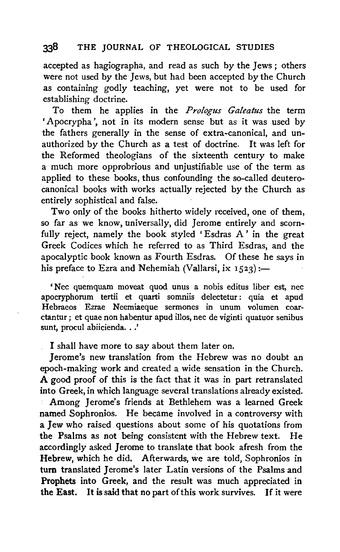accepted as hagiographa, and read as such by the Jews ; others were not used by the Jews, but had been accepted by the Church as containing godly teaching, yet were not to be used for establishing doctrine.

To them he applies in the *Prologus Galeatus* the term 'Apocrypha', not in its modern sense but as it was used by the fathers generally in the sense of extra-canonical, and unauthorized by the Church as a test of doctrine. It was left for the Reformed theologians of the sixteenth century to make a much more opprobrious and unjustifiable use of the term as applied to these books, thus confounding the so-called deuterocanonical books with works actually rejected by the Church as entirely sophistical and false.

Two only of the books hitherto widely received, one of them, so far as we know, universally, did Jerome entirely and scornfully reject, namely the book styled 'Esdras A' in the great Greek Codices which he referred to as Third Esdras, and the apocalyptic book known as Fourth Esdras. Of these he says in his preface to Ezra and Nehemiah (Vallarsi, ix  $1523$ ):-

'Nec quem quam moveat quod unus a nobis editus liber est, nec apocryphorum tertii et quarti somniis delectetur : quia et apud Hebraeos Ezrae Neemiaeque sermones in unum volumen coarctantur; et quae non habentur apud illos, nee de viginti quatuor senibus sunt, procul abiicienda...'

I shall have more to say about them later on.

Jerome's new translation from the Hebrew was no doubt an epoch-making work and created a wide sensation in the Church. A good proof of this is the fact that it was in part retranslated into Greek, in which language several translations already existed. Among Jerome's friends at Bethlehem was a learned Greek named Sophronios. He became involved in a controversy with a Jew who raised questions about some of his quotations from the Psalms as not being consistent with the Hebrew text. He accordingly asked Jerome to translate that book afresh from the Hebrew, which he did. Afterwards, we are told, Sophronios in turn translated Jerome's later Latin versions of the Psalms and Prophets into Greek, and the result was much appreciated in the East. It is said that no part of this work survives. If it were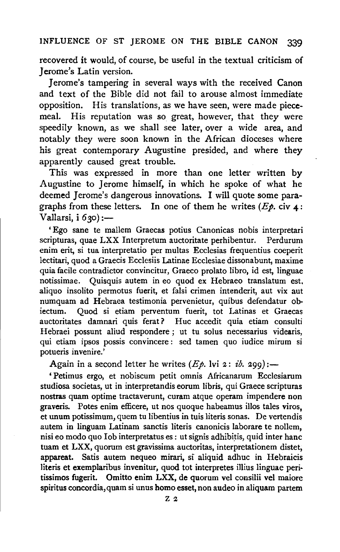recovered it would, of course, be useful in the textual criticism of Jerome's Latin version.

Jerome's tampering in several ways with the received Canon and text of the Bible did not fail to arouse almost immediate opposition. His translations, as we have seen, were made piecemeal. His reputation was so great, however, that they were speedily known, as we shall see later, over a wide area, and notably they were soon known in the African dioceses where his great contemporary Augustine presided, and where they apparently caused great trouble.

This was expressed in more than one letter written by Augustine to Jerome himself, in which he spoke of what he deemed Jerome's dangerous innovations. I will quote some paragraphs from these letters. In one of them he writes  $(E\phi)$ , civ 4: Vallarsi, i 630) :-

'Ego sane te mallem Graecas potius Canonicas nobis interpretari scripturas, quae LXX Interpretum auctoritate perhibentur. enim erit, si tua interpretatio per multas Ecclesias frequentius coeperit lectitari, quod a Graecis Ecclesiis Latinae Ecclesiae dissonabunt, maxime quia facile contradictor convincitur, Graeco prolato libro, id est, linguae notissimae. Quisquis autem in eo quod ex Hebraeo translatum est, aliquo insolito permotus fuerit, et falsi crimen intenderit, aut vix aut numquam ad Hebraea testimonia pervenietur, quibus defendatur obiectum. Quod si etiam perventum fuerit, tot Latinas et Graecas auctoritates damnari quis ferat? Hue accedit quia etiam consulti Hebraei possunt aliud respondere ; ut tu solus necessarius videaris, qui etiam ipsos possis convincere : sed tamen quo iudice mirum si potueris invenire.'

Again in a second letter he writes  $(E_p)$ . lvi 2: ib. 299):-

' Petimus ergo, et nobiscum petit omnis Africanarum Ecclesiarum studiosa societas, ut in interpretandis eorum libris, qui Graece scripturas nostras quam optime tractaverunt, curam atque operam impendere non graveris. Potes enim efficere, ut nos quoque habeamus illos tales viros, et unum potissimum, quem tu libentius in tuis literis sonas. De vertendis autem in linguam Latinam sanctis literis canonicis laborare te nollem, nisi eo modo quo Iob interpretatus es: ut signis adhibitis, quid inter hanc tuam et LXX, quorum est gravissima auctoritas, interpretationem distet, appareat. Satis autem nequeo mirari, si aliquid adhuc in Hebraicis literis et exemplaribus invenitur, quod tot interpretes illius linguae peritissimos fugerit. Omitto enim LXX, de quorum vel consilii vel maiore spiritus concordia, quam si unus homo esset, non audeo in aliquam partem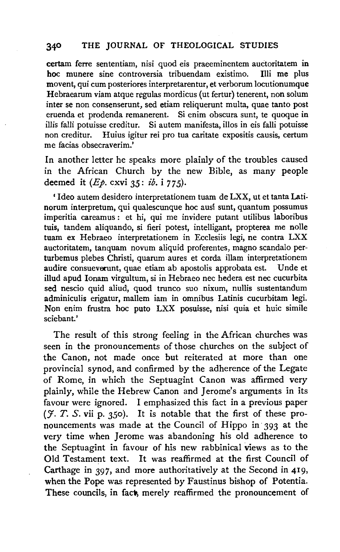certam ferre sententiam, nisi quod eis praeeminentem audoritatem in hoc munere sine controversia tribuendam existimo. Illi me plus movent, qui cum posteriores interpretarentur, et verborum locutionumque Hebraearum viam atque regulas mordicus (ut fertur) tenerent, non solum inter se non consenserunt, sed etiam reliquerunt multa, quae tanto post eruenda et prodenda remanerent. Si enim obscura sunt, te quoque in illis falli potuisse creditur. Si autem manifesta, illos in eis falli potuisse non creditur. Huius igitur rei pro tua caritate expositis causis, certum me facias obsecraverim.'

In another letter he speaks more plainly of the troubles caused in the African Church by the new Bible, as many people deemed it *(Ep.* cxvi 35: *£b.* i *77* 5).

' Ideo autem desidero interpretationem tuam de LXX, ut et tanta Latinorum interpretum, qui qualescunque hoc ausí sunt, quantum possumus imperitia careamus : et hi, qui me invidere putant utilibus laboribus tuis, tandem aliquando, si fieri potest, intelligant, propterea me nolle tuam ex Hebraeo interpretationem in Ecclesiis legi, ne contra LXX auctoritatem, tanquam novum aliquid proferentes, magno scandalo perturbemus plebes Christi, quarum aures et corda illam interpretationem audire consueverunt, quae etiam ab apostolis approbata est. Unde et illud apud Ionam virgultum, si in Hebraeo nee hedera est nee cucurbita sed nescio quid aliud; quod trunco suo nixum, nullis sustentandum adminiculis erigatur, mallem iam in omnibus Latinis cucurbitam legi. Non enim frustra hoc puto LXX posuisse, nisi quia et huic simile sciebant.'

The result of this strong feeling in the African churches was seen in the pronouncements of those churches on the subject of the Canon, not made once but reiterated at more than one provincial synod, and confirmed by the adherence of the Legate of Rome, in which the Septuagint Canon was affirmed very plainly, while the Hebrew Canon and Jerome's arguments in its favour were ignored. I emphasized this fact in a previous paper  $(7. T. S. vii p. 350)$ . It is notable that the first of these pronouncements was made at the Council of Hippo in 393 at the very time when Jerome was abandoning his old adherence to the Septuagint in favour of his new rabbinical views as to the Old Testament text. It was reaffirmed at the first Council of Carthage in 397, and more authoritatively at the Second in 419, when the Pope was represented by Faustinus bishop of Potentia. These councils, in fact, merely reaffirmed the pronouncement of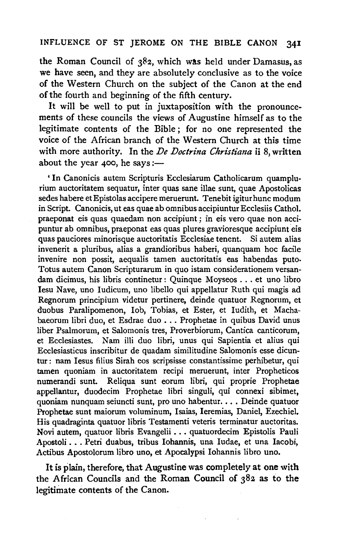the Roman Council of  $382$ , which was held under Damasus, as we have seen, and they are absolutely conclusive as to the voice of the Western Church on the subject of the Canon at the end of the fourth and beginning of the fifth century.

It will be well to put in juxtaposition with the pronouncements of these councils the views of Augustine himself as to the legitimate contents of the Bible ; for no one represented the voice of the African branch of the Western Church at this time with more authority. In the *De Doctrina Ckristiana* ii 8, written about the year  $400$ , he says:-

' In Canonicis autem Scripturis Ecclesiarum Catholicarum quamplurium auctoritatem sequatur, inter quas sane illae sunt, quae Apostolicas sedes habere et Epistolas accipere meruerunt. Tenebit igitur hunc modum in Script. Canonicis, ut eas quae ab omnibus accipiuntur Ecclesiis Cathol. praeponat eis quas quaedam non accipiunt; in eis vero quae non accipuntur ab omnibus, praeponat eas quas plures gravioresque accipiunt eis quas pauciores minorisque auctoritatis Ecclesiae tenent. Si autem alias invenerit a pluribus, alias a grandioribus haberi, quanquam hoc facile invenire non possit, aequalis tamen auctoritatis eas habendas puto. Totus autem Canon Scripturarum in quo istam considerationem versandam dicimus, his libris continetur : Quinque Moyseos ... et uno libro Iesu Nave, uno Iudicum, uno libello qui appellatur Ruth qui magis ad Regnorum principium videtur pertinere, deinde quatuor Regnorum, et duobus Paralipomenon, lob, Tobias, et Ester, et Iudith, et Machabaeorum libri duo, et Esdrae duo ... Prophetae in quibus David unus liber Psalmorum, et Salomonis tres, Proverbiorum, Cantica canticorum, et Ecclesiastes. Nam illi duo libri, unus qui Sapientia et alius qui Ecclesiasticus inscribitur de quadam similitudine Salomonis esse dicuntur: nam Iesus filius Sirah eos scripsisse constantissime perhibetur, qui tamen quoniam in auctoritatem recipi meruerunt, inter Propheticos numerandi sunt. Reliqua sunt eorum libri, qui proprie Prophetae appellantur, duodecim Prophetae libri singuli, qui connexi sibimet, quoniam nunquam seiuncti sunt, pro uno habentur. . . . Deinde quatuor Prophetae sunt maiorum voluminum, Isaias, Ieremias, Daniel, Ezechiel. His quadraginta quatuor libris Testamenti veteris terminatur auctoritas. Novi autem, quatuor libris Evangelii •.. quatuordecim Epistolis Pauli Apostoli .•. Petri duabus, tribus Iohannis, una Iudae, et una Iacobi, Actibus Apostolorum libro uno, et Apocalypsi lohannis libro uno.

It is plain, therefore, that Augustine was completely at one with the African Councils and the Roman Council of 382 as to the legitimate contents of the Canon.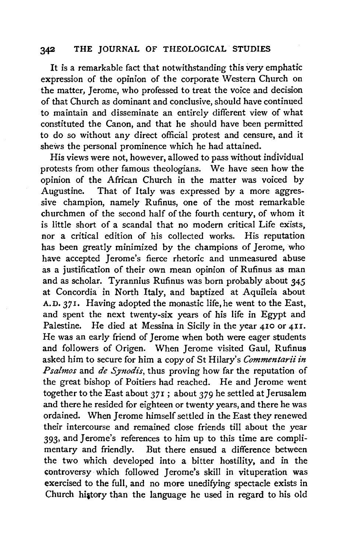It is a remarkable fact that notwithstanding this very emphatic expression of the opinion of the corporate Western Church on the matter, Jerome, who professed to treat the voice and decision of that Church as dominant and conclusive, should have continued to maintain and disseminate an entirely different view of what constituted the Canon, and that he should have been permitted to do so without any direct official protest and censure, and it shews the personal prominence which he had attained.

His views were not, however, allowed to pass without individual protests from other famous theologians. We have seen how the opinion of the African Church in the matter was voiced by Augustine. That of Italy was expressed by a more aggressive champion, namely Rufinus, one of the most remarkable churchmen of the second half of the fourth century, of whom it is little short of a scandal that no modern critical Life exists, nor a critical edition of his collected works. His reputation has been greatly minimized by the champions of Jerome, who have accepted Jerome's fierce rhetoric and unmeasured abuse as a justification of their own mean opinion of Rufinus as man and as scholar. Tyrannius Rufinus was born probably about *345*  at Concordia in North Italy, and baptized at Aquileia about A.D. 371. Having adopted the monastic life, he went to the East, and spent the next twenty-six years of his life in Egypt and Palestine. He died at Messina in Sicily in the year 410 or 4II. He was an early friend of Jerome when both were eager students and followers of Origen. When Jerome visited Gaul, Rufinus asked him to secure for him a copy of St Hilary's *Commentarii in Psalmos* and *de Synodis*, thus proving how far the reputation of the great bishop of Poitiers had reached. He and Jerome went together to the East about 371; about 379 he settled at Jerusalem and there he resided for eighteen or twenty years, and there he was ordained. When Jerome himself settled in the East they renewed their intercourse and remained close friends till about the year 393, and Jerome's references to him up to this time are complimentary and friendly. But there ensued a difference between the two which developed into a bitter hostility, and in the controversy which followed Jerome's skill in vituperation was exercised to the full, and no more unedifying spectacle exists in Church history than the language he used in regard to his old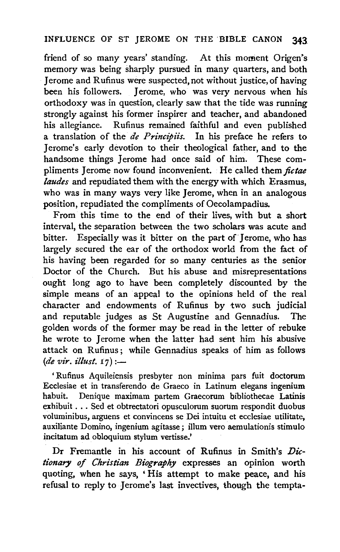friend of so many years' standing. At this moment Origen's memory was being sharply pursued in many quarters, and both J erome and Rufinus were suspected, not without justice, of having been his followers. Jerome, who was very nervous when his orthodoxy was in question, clearly saw that the tide was running strongly against his former inspirer and teacher, and abandoned his allegiance. Rufinus remained faithful and even published a translation of the *de Principiis.* In his preface he refers to Jerome's early devotion to their theological father, and to the handsome things Jerome had once said of him. These compliments Jerome now found inconvenient. He called them *fictae /audes* and repudiated them with the energy with which Erasmus, who was in many ways very like Jerome, when in an analogous position, repudiated the compliments of Oecolampadius.

From this time to the end of their lives, with but a short interval, the separation between the two scholars was acute and bitter. Especially was it bitter on the part of Jerome, who has largely secured the ear of the orthodox world from the fact of his having been regarded for so many centuries as the senior Doctor of the Church. But his abuse and misrepresentations ought long ago to have been completely discounted by the simple means of an appeal to the opinions held of the real character and endowments of Rufinus by two such judicial and reputable judges as St Augustine and Gennadius. The golden words of the former may be read in the letter of rebuke he wrote to Jerome when the latter had sent him his abusive attack on Rufinus ; while Gennadius speaks of him as follows *(de vir. illust.* 17) :-

' Rufinus Aquileiensis presbyter non minima pars fuit doctorum Ecclesiae et in transferendo de Graeco in Latinum elegans ingenium habuit. Denique maximam partem Graecorum bibliothecae Latinis exhibuit ... Sed et obtrectatori opusculorum suorum respondit duobus voluminibus, arguens et convincens se Dei intuitu et ecclesiae utilitate, auxiliante Domino, ingenium agitasse; illum vero aemulationis stimulo incitatum ad obloquium stylum vertisse.'

Dr Fremantle in his account of Rufinus in Smith's *Dictionary of Christian Biography* expresses an opinion worth quoting, when he says, ' His attempt to make peace, and his refusal to reply to Jerome's last invectives, though the tempta-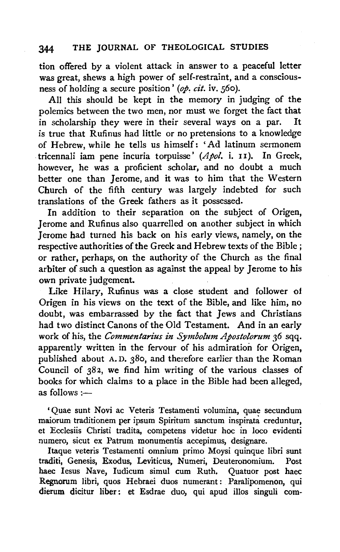tion offered by a violent attack in answer to a peaceful letter was great, shews a high power of self-restraint, and a consciousness of holding a secure position' (op. cit. iv. 560).

All this should be kept in the memory in judging of the polemics between the two men, nor must we forget the fact that in scholarship they were in their several ways on a par. It is true that Rufinus had little or no pretensions to a knowledge of Hebrew, while he tells us himself: 'Ad latinum sermonem tricennali iam pene in curia torpuisse' *(Apol.* i. 11 ). In Greek, however, he was a proficient scholar, and no doubt a much better one than Jerome, and it was to him that the Western Church of the fifth century was largely indebted for such translations of the Greek fathers as it possessed.

In addition to their separation on the subject of Origen, Jerome and Rufinus also quarrelled on another subject in which Jerome had turned his back on his early views, namely, on the respective authorities of the Greek and Hebrew texts of the Bible ; or rather, perhaps, on the authority of the Church as the final arbiter of such a question as against the appeal by Jerome to his own private judgement.

Like Hilary, Rufinus was a close student and follower of Origen in his views on the text of the Bible, and like him, no doubt, was embarrassed by the fact that Jews and Christians had two distinct Canons of the Old Testament. And in an early work of his, the *Commentarius in Symbolum Apostolorum 36* sqq. apparently written in the fervour of his admiration for Origen, published about A. D. 380, and therefore earlier than the Roman Council of 382, we find him writing of the various classes of books for which claims to a place in the Bible had been alleged, s follows :-

'Quae sunt Novi ac Veteris Testamenti volumina, quae secundum maiorum traditionem per ipsum Spiritum sanctum inspirata creduntur, et Ecclesiis Christi tradita, competens videtur hoc in loco evidenti numero, sicut ex Patrum monumentis accepimus, designare.

Itaque veteris Testamenti omnium primo Moysi quinque libri sunt traditi, Genesis, Exodus, Leviticus, Numeri, Deuteronomium. Post haec Jesus Nave, Iudicum simul cum Ruth. Quatuor post haec Regnorum libri, quos Hebraei duos numerant : Paralipomenon, qui dierum dicitur liber: et Esdrae duo, qui apud illos singuli com-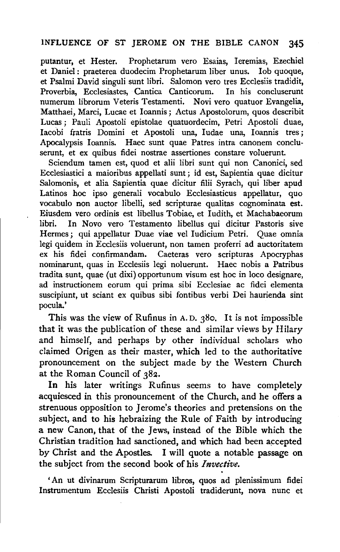putantur, et Hester. Prophetarum vero Esaias, Ieremias, Ezechiel et Daniel : praeterea duodecim Prophetarum liber unus. lob quoque, et Psalmi David singuli sunt libri. Salomon vero tres Ecclesiis tradidit,<br>Proverbia. Ecclesiastes. Cantica Canticorum. In his concluserunt Proverbia, Ecclesiastes, Cantica Canticorum. numerum librorum Veteris Testamenti. Novi vero quatuor Evangelia, Matthaei, Marci, Lucae et Ioannis ; Actus Apostolorum, quos describit Lucas ; Pauli Apostoli epistolae quatuordecim, Petri Apostoli duae, Iacobi fratris Domini et Apostoli una, Iudae una, Ioannis tres; Apocalypsis Ioannis. Haec sunt quae Patres intra canonem concluserunt, et ex quibus fidei nostrae assertiones constare voluerunt.

Sciendum tamen est, quod et alii libri sunt qui non Canonici, sed Ecclesiastici a maioribus appellati sunt; id est, Sapientia quae dicitur Salomonis, et alia Sapientia quae dicitur filii Syrach, qui liber apud Latinos hoc ipso generali vocabulo Ecclesiasticus appellatur, quo vocabulo non auctor libelli, sed scripturae qualitas cognominata est. Eiusdem vero ordinis est libellus Tobiae, et Iudith, et Machabaeorum libri. In Novo vero Testamento libellus qui dicitur Pastoris sive Hermes; qui appellatur Duae viae vel Judicium Petri. Quae omnia legi quidem in Ecclesiis voluerunt, non tamen proferri ad auctoritatem ex his fidei confirmandam. Caeteras vero scripturas Apocryphas nominarunt, quas in Ecclesiis legi noluerunt. Haec nobis a Patribus tradita sunt, quae (ut dixi) opportunum visum est hoc in loco designare, ad instructionem eorum qui prima sibi Ecclesiae ac fidei elementa suscipiunt, ut sciant ex quibus sibi fontibus verbi Dei haurienda sint pocula.'

This was the view of Rufinus in A. D. 380. It is not impossible that it was the publication of these and similar views by Hilary and himself, and perhaps by other individual scholars who claimed Origen as their master, which led to the authoritative pronouncement on the subject made by the Western Church at the Roman Council of 38z.

In his later writings Rufinus seems to have completely acquiesced in this pronouncement of the Church, and he offers a strenuous opposition to Jerome's theories and pretensions on the subject, and to his hebraizing the Rule of Faith by introducing a new Canon, that of the Jews, instead of the Bible which the Christian tradition had sanctioned, and which had been accepted by Christ and the Apostles. I will quote a notable passage on the subject from the second book of his *Invective.* 

'An ut divinarum Scripturarum libros, quos ad plenissimum fidei Instrumentum Ecclesiis Christi Apostoli tradiderunt, nova nunc et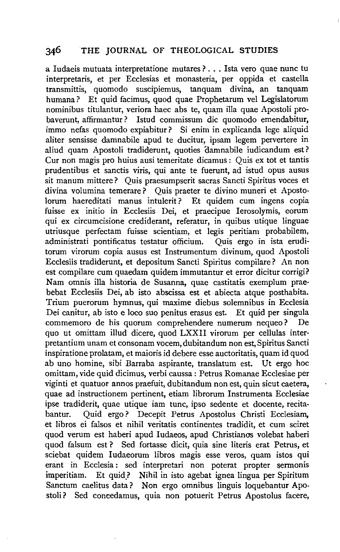a ludaeis mutuata interpretatione mutares? ... Ista vero quae nunc tu interpretaris, et per Ecclesias et monasteria, per oppida et castella transmittis, quomodo suscipiemus, humana? Et quid facimus, quod quae Prophetarum vel Legislatorum nominibus titulantur, veriora haec abs te, quam ilia quae Apostoli probaverunt, affirmantur? Istud commissum die quomodo emendabitur, immo nefas quomodo expiabitur? Si enim in explicanda lege aliquid aliter sensisse damnabile apud te ducitur, ipsam legem pervertere in aliud quam Apostoli tradiderunt, quoties damnabile iudicandum est? Cur non magis pro huius ausi temeritate dicamus : Quis ex tot et tantis prudentibus et sanctis viris, qui ante te fuerunt, ad istud opus ausus sit manum mittere? Quis praesumpserit sacras Sancti Spiritus voces et divina volumina temerare? Quis praeter te divino muneri et Apostolorum haereditati manus intulerit? Et quidem cum ingens copia fuisse ex initio in Ecclesiis Dei, et praecipue Ierosolymis, eorum qui ex circumcisione crediderant, referatur, in quibus utique linguae utriusque perfectam fuisse scientiam, et legis peritiam probabilem, administrati pontificatus testatur officium. Quis ergo in ista eruditorum virorum copia ausus est Instrumentum divinum, quod Apostoli Ecclesiis tradiderunt, et depositum Sancti Spiritus compilare? An non est compilare cum quaedam quidem immutantur et error dicitur corrigi? Nam omnis illa historia de Susanna, quae castitatis exemplum praebebat Ecclesiis Dei, ab isto abscissa est et abiecta atque posthabita. Trium puerorum hymnus, qui maxime diebus solemnibus in Ecclesia Dei canitur, ab isto e loco suo penitus erasus est. Et quid per singula commemoro de his quorum comprehendere numerum nequeo? De quo ut omittam illud dicere, quod LXXII virorum per cellulas interpretantium unam et consonam vocem, dubitandum non est, Spiritus Sancti inspiratione prolatam, et maioris id debere esse auctoritatis, quam id quod ab uno homine, sibi Barraba aspirante, translatum est. Ut ergo hoc omittam, vide quid dicimus, verbi caussa : Petrus Romanae Ecclesiae per viginti et quatuor annos praefuit, dubitandum non est, quin sicut caetera, quae ad instructionem pertinent, etiam librorum Instrumenta Ecclesiae ipse tradiderit, quae utique iam tunc, ipso sedente et docente, recitabantur. Quid ergo? Decepit Petrus Apostolus Christi Ecclesiam, et libros ei falsos et nihil veritatis continentes tradidit, et cum sciret quod verum est haberi apud Iudaeos, apud Christianos volebat haberi quod falsum est ? Sed fortasse dicit, quia sine literis erat Petrus, et sciebat quidem Iudaeorum libros magis esse veros, quam istos qui erant in Ecclesia : sed interpretari non poterat propter sermonis imperitiam. Et quid.? Nihil in isto agebat ignea lingua per Spiritum Sanctum caelitus data? Non ergo omnibus linguis loquebantur Apostoli? Sed concedamus, quia non potuerit Petrus Apostolus facere,